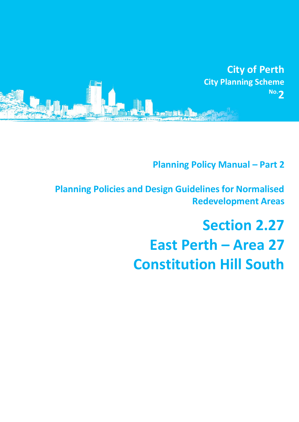

# **Planning Policy Manual - Part 2**

**Planning Policies and Design Guidelines for Normalised Redevelopment Areas**

# **Section 2.27 East Perth – Area 27 Constitution Hill South**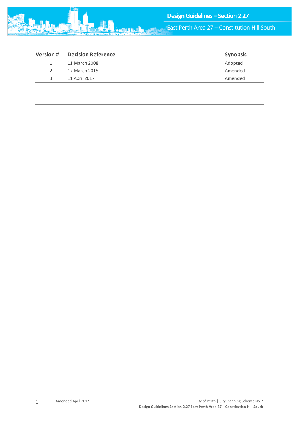

East Perth Area 27 – Constitution Hill South

| <b>Version#</b> | <b>Decision Reference</b> | <b>Synopsis</b> |
|-----------------|---------------------------|-----------------|
|                 | 11 March 2008             | Adopted         |
| 2               | 17 March 2015             | Amended         |
| 3               | 11 April 2017             | Amended         |
|                 |                           |                 |
|                 |                           |                 |
|                 |                           |                 |
|                 |                           |                 |
|                 |                           |                 |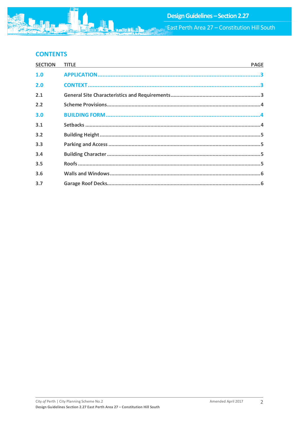

# **CONTENTS**

| <b>SECTION</b> | <b>TITLE</b> | <b>PAGE</b> |
|----------------|--------------|-------------|
| 1.0            |              |             |
| 2.0            |              |             |
| 2.1            |              |             |
| 2.2            |              |             |
| 3.0            |              |             |
| 3.1            |              |             |
| 3.2            |              |             |
| 3.3            |              |             |
| 3.4            |              |             |
| 3.5            |              |             |
| 3.6            |              |             |
| 3.7            |              |             |
|                |              |             |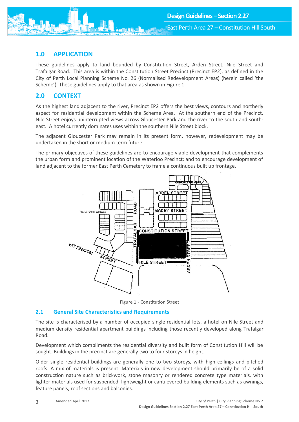<span id="page-3-0"></span>

These guidelines apply to land bounded by Constitution Street, Arden Street, Nile Street and Trafalgar Road. This area is within the Constitution Street Precinct (Precinct EP2), as defined in the City of Perth Local Planning Scheme No. 26 (Normalised Redevelopment Areas) (herein called 'the Scheme'). These guidelines apply to that area as shown in Figure 1.

## <span id="page-3-1"></span>**2.0 CONTEXT**

As the highest land adjacent to the river, Precinct EP2 offers the best views, contours and northerly aspect for residential development within the Scheme Area. At the southern end of the Precinct, Nile Street enjoys uninterrupted views across Gloucester Park and the river to the south and southeast. A hotel currently dominates uses within the southern Nile Street block.

The adjacent Gloucester Park may remain in its present form, however, redevelopment may be undertaken in the short or medium term future.

The primary objectives of these guidelines are to encourage viable development that complements the urban form and prominent location of the Waterloo Precinct; and to encourage development of land adjacent to the former East Perth Cemetery to frame a continuous built up frontage.



Figure 1:- Constitution Street

#### <span id="page-3-2"></span>**2.1 General Site Characteristics and Requirements**

The site is characterised by a number of occupied single residential lots, a hotel on Nile Street and medium density residential apartment buildings including those recently developed along Trafalgar Road.

Development which compliments the residential diversity and built form of Constitution Hill will be sought. Buildings in the precinct are generally two to four storeys in height.

Older single residential buildings are generally one to two storeys, with high ceilings and pitched roofs. A mix of materials is present. Materials in new development should primarily be of a solid construction nature such as brickwork, stone masonry or rendered concrete type materials, with lighter materials used for suspended, lightweight or cantilevered building elements such as awnings, feature panels, roof sections and balconies.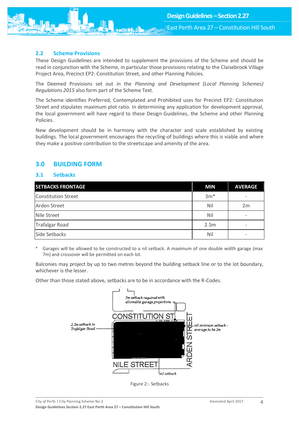East Perth Area 27 – Constitution Hill South

#### <span id="page-4-0"></span>**2.2 Scheme Provisions**

These Design Guidelines are intended to supplement the provisions of the Scheme and should be read in conjunction with the Scheme, in particular those provisions relating to the Claisebrook Village Project Area, Precinct EP2: Constitution Street, and other Planning Policies.

The Deemed Provisions set out in the *Planning and Development (Local Planning Schemes) Regulations 2015* also form part of the Scheme Text.

The Scheme identifies Preferred, Contemplated and Prohibited uses for Precinct EP2: Constitution Street and stipulates maximum plot ratio. In determining any application for development approval, the local government will have regard to these Design Guidelines, the Scheme and other Planning Policies.

New development should be in harmony with the character and scale established by existing buildings. The local government encourages the recycling-of buildings where this is viable and where they make a positive contribution to the streetscape and amenity of the area.

### <span id="page-4-1"></span>**3.0 BUILDING FORM**

#### <span id="page-4-2"></span>**3.1 Setbacks**

| <b>SETBACKS FRONTAGE</b>   | <b>MIN</b> | <b>AVERAGE</b> |
|----------------------------|------------|----------------|
| <b>Constitution Street</b> | $3m*$      |                |
| <b>Arden Street</b>        | Nil        | 2m             |
| <b>Nile Street</b>         | Nil        |                |
| <b>Trafalgar Road</b>      | 2.5m       |                |
| Side Setbacks              | Nil        |                |

Garages will be allowed to be constructed to a nil setback. A maximum of one double width garage (max 7m) and crossover will be permitted on each lot.

Balconies may project by up to two metres beyond the building setback line or to the lot boundary, whichever is the lesser.

Other than those stated above, setbacks are to be in accordance with the R-Codes.



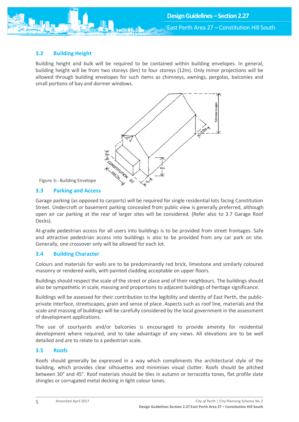#### <span id="page-5-0"></span>**3.2 Building Height**

Building height and bulk will be required to be contained within building envelopes. In general, building height will be from two storeys (6m) to four storeys (12m). Only minor projections will be allowed through building envelopes for such items as chimneys, awnings, pergolas, balconies and small portions of bay and dormer windows.



Figure 3:- Building Envelope

#### <span id="page-5-1"></span>**3.3 Parking and Access**

Garage parking (as opposed to carports) will be required for single residential lots facing Constitution Street. Undercroft or basement parking concealed from public view is generally preferred, although open air car parking at the rear of larger sites will be considered. (Refer also to 3.7 Garage Roof Decks).

At-grade pedestrian access for all users into buildings is to be provided from street frontages. Safe and attractive pedestrian access into buildings is also to be provided from any car park on site. Generally, one crossover only will be allowed for each lot.

#### <span id="page-5-2"></span>**3.4 Building Character**

Colours and materials for walls are to be predominantly red brick, limestone and similarly coloured masonry or rendered walls, with painted cladding acceptable on upper floors.

Buildings should respect the scale of the street or place and of their neighbours. The buildings should also be sympathetic in scale, massing and proportions to adjacent buildings of heritage significance.

Buildings will be assessed for their contribution to the legibility and identity of East Perth, the publicprivate interface, streetscapes, grain and sense of place. Aspects such as roof line, materials and the scale and massing of buildings will be carefully considered by the local government in the assessment of development applications.

The use of courtyards and/or balconies is encouraged to provide amenity for residential development where required, and to take advantage of any views. All elevations are to be well detailed and are to relate to a pedestrian scale.

#### <span id="page-5-3"></span>**3.5 Roofs**

Roofs should generally be expressed in a way which compliments the architectural style of the building, which provides clear silhouettes and minimises visual clutter. Roofs should be pitched between 30° and 45°. Roof materials should be tiles in autumn or terracotta tones, flat profile slate shingles or corrugated metal decking in light colour tones.